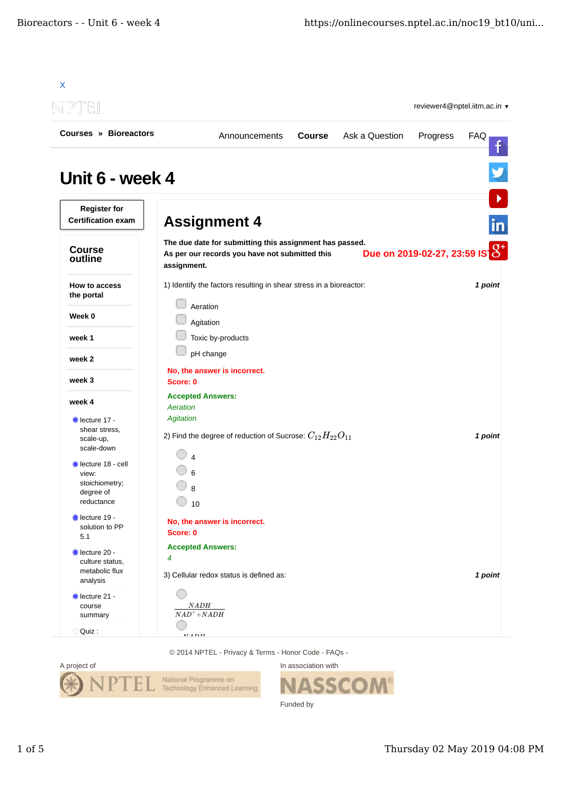| NEIL                                             |                                          |                                                                                                           |               |                | reviewer4@nptel.iitm.ac.in ▼      |            |
|--------------------------------------------------|------------------------------------------|-----------------------------------------------------------------------------------------------------------|---------------|----------------|-----------------------------------|------------|
| Courses » Bioreactors                            |                                          | Announcements                                                                                             | <b>Course</b> | Ask a Question | Progress                          | <b>FAQ</b> |
| Unit 6 - week 4                                  |                                          |                                                                                                           |               |                |                                   |            |
| <b>Register for</b><br><b>Certification exam</b> | <b>Assignment 4</b>                      |                                                                                                           |               |                |                                   |            |
| <b>Course</b><br>outline                         | assignment.                              | The due date for submitting this assignment has passed.<br>As per our records you have not submitted this |               |                | Due on 2019-02-27, 23:59 IS $3^+$ |            |
| How to access<br>the portal                      | Aeration                                 | 1) Identify the factors resulting in shear stress in a bioreactor:                                        |               |                |                                   | 1 point    |
| Week 0                                           | Agitation                                |                                                                                                           |               |                |                                   |            |
| week 1                                           | Toxic by-products                        |                                                                                                           |               |                |                                   |            |
| week 2                                           | pH change                                |                                                                                                           |               |                |                                   |            |
| week 3                                           | No, the answer is incorrect.<br>Score: 0 |                                                                                                           |               |                |                                   |            |
| week 4                                           | <b>Accepted Answers:</b><br>Aeration     |                                                                                                           |               |                |                                   |            |
| $\blacksquare$ lecture 17 -                      | <b>Agitation</b>                         |                                                                                                           |               |                |                                   |            |
| shear stress,                                    |                                          | 2) Find the degree of reduction of Sucrose: $C_{12}H_{22}O_{11}$                                          |               |                |                                   | 1 point    |
| scale-up,<br>scale-down                          |                                          |                                                                                                           |               |                |                                   |            |
| lecture 18 - cell<br>view:                       |                                          |                                                                                                           |               |                |                                   |            |
| stoichiometry;                                   |                                          |                                                                                                           |               |                |                                   |            |
| degree of                                        | 8                                        |                                                                                                           |               |                |                                   |            |
| reductance                                       | 10                                       |                                                                                                           |               |                |                                   |            |
| lecture 19 -<br>solution to PP                   | No, the answer is incorrect.             |                                                                                                           |               |                |                                   |            |
| 5.1                                              | Score: 0                                 |                                                                                                           |               |                |                                   |            |
| lecture 20 -                                     | <b>Accepted Answers:</b>                 |                                                                                                           |               |                |                                   |            |
| culture status,<br>metabolic flux<br>analysis    | $\overline{4}$                           | 3) Cellular redox status is defined as:                                                                   |               |                |                                   | 1 point    |
| lecture 21 -                                     |                                          |                                                                                                           |               |                |                                   |            |
| course                                           | $\emph{NADH}$                            |                                                                                                           |               |                |                                   |            |
| summary                                          | $NAD+NADH$                               |                                                                                                           |               |                |                                   |            |
|                                                  |                                          |                                                                                                           |               |                |                                   |            |

© 2014 NPTEL - Privacy & Terms - Honor Code - FAQs -



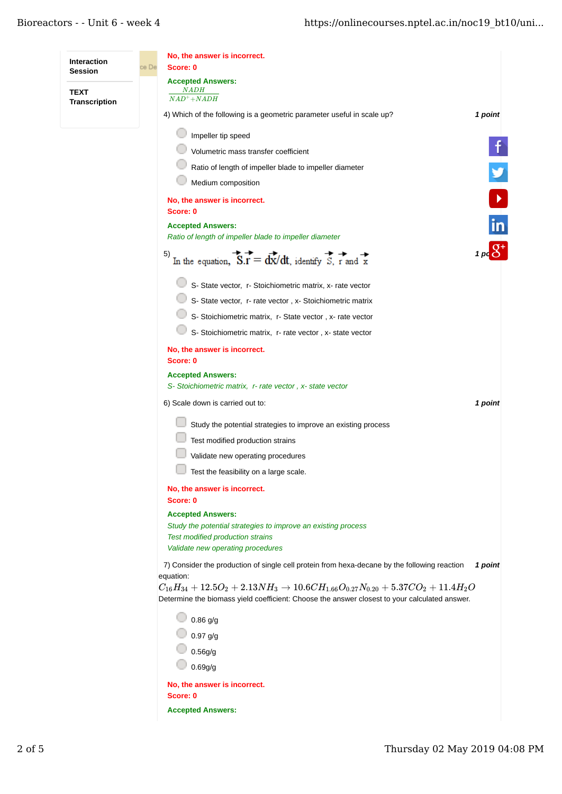| <b>Interaction</b>   | No, the answer is incorrect.                                                                                                                                                                         |               |  |  |  |
|----------------------|------------------------------------------------------------------------------------------------------------------------------------------------------------------------------------------------------|---------------|--|--|--|
| <b>Session</b>       | ce De<br>Score: 0<br><b>Accepted Answers:</b>                                                                                                                                                        |               |  |  |  |
| <b>TEXT</b>          | <u>NADH</u><br>$NAD+NADH$                                                                                                                                                                            |               |  |  |  |
| <b>Transcription</b> | 4) Which of the following is a geometric parameter useful in scale up?<br>1 point                                                                                                                    |               |  |  |  |
|                      | Impeller tip speed                                                                                                                                                                                   |               |  |  |  |
|                      | Volumetric mass transfer coefficient                                                                                                                                                                 |               |  |  |  |
|                      | Ratio of length of impeller blade to impeller diameter                                                                                                                                               |               |  |  |  |
|                      | Medium composition                                                                                                                                                                                   |               |  |  |  |
|                      | No, the answer is incorrect.                                                                                                                                                                         |               |  |  |  |
|                      | Score: 0                                                                                                                                                                                             |               |  |  |  |
|                      | <b>Accepted Answers:</b><br>Ratio of length of impeller blade to impeller diameter                                                                                                                   | $\mathsf{in}$ |  |  |  |
|                      | 5)<br>In the equation, $\overrightarrow{S.r} = \frac{d\overrightarrow{x}}{dt}$ , identify $\overrightarrow{S}$ , r and $\overrightarrow{x}$                                                          |               |  |  |  |
|                      | S- State vector, r- Stoichiometric matrix, x- rate vector                                                                                                                                            |               |  |  |  |
|                      | S- State vector, r- rate vector, x- Stoichiometric matrix                                                                                                                                            |               |  |  |  |
|                      | S- Stoichiometric matrix, r- State vector, x- rate vector                                                                                                                                            |               |  |  |  |
|                      | S- Stoichiometric matrix, r- rate vector, x- state vector                                                                                                                                            |               |  |  |  |
|                      | No, the answer is incorrect.                                                                                                                                                                         |               |  |  |  |
|                      | Score: 0<br><b>Accepted Answers:</b>                                                                                                                                                                 |               |  |  |  |
|                      | S- Stoichiometric matrix, r- rate vector, x- state vector                                                                                                                                            |               |  |  |  |
|                      | 6) Scale down is carried out to:                                                                                                                                                                     | 1 point       |  |  |  |
|                      | Study the potential strategies to improve an existing process                                                                                                                                        |               |  |  |  |
|                      | Test modified production strains                                                                                                                                                                     |               |  |  |  |
|                      | Validate new operating procedures                                                                                                                                                                    |               |  |  |  |
|                      | Test the feasibility on a large scale.                                                                                                                                                               |               |  |  |  |
|                      | No, the answer is incorrect.                                                                                                                                                                         |               |  |  |  |
|                      | Score: 0<br><b>Accepted Answers:</b>                                                                                                                                                                 |               |  |  |  |
|                      | Study the potential strategies to improve an existing process                                                                                                                                        |               |  |  |  |
|                      | <b>Test modified production strains</b>                                                                                                                                                              |               |  |  |  |
|                      | Validate new operating procedures                                                                                                                                                                    |               |  |  |  |
|                      | 7) Consider the production of single cell protein from hexa-decane by the following reaction<br>equation:                                                                                            | 1 point       |  |  |  |
|                      | $C_{16}H_{34} + 12.5O_2 + 2.13NH_3 \rightarrow 10.6CH_{1.66}O_{0.27}N_{0.20} + 5.37CO_2 + 11.4H_2O$<br>Determine the biomass yield coefficient: Choose the answer closest to your calculated answer. |               |  |  |  |
|                      | $0.86$ g/g                                                                                                                                                                                           |               |  |  |  |
|                      | $0.97$ g/g                                                                                                                                                                                           |               |  |  |  |
|                      | 0.56g/g                                                                                                                                                                                              |               |  |  |  |
|                      | 0.69g/g                                                                                                                                                                                              |               |  |  |  |
|                      | No, the answer is incorrect.                                                                                                                                                                         |               |  |  |  |
|                      | Score: 0                                                                                                                                                                                             |               |  |  |  |
|                      | <b>Accepted Answers:</b>                                                                                                                                                                             |               |  |  |  |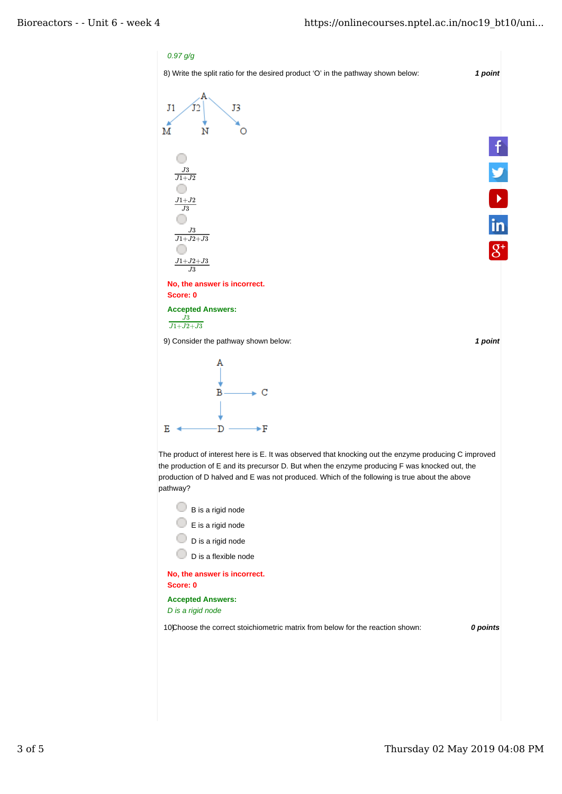## *0.97 g/g*

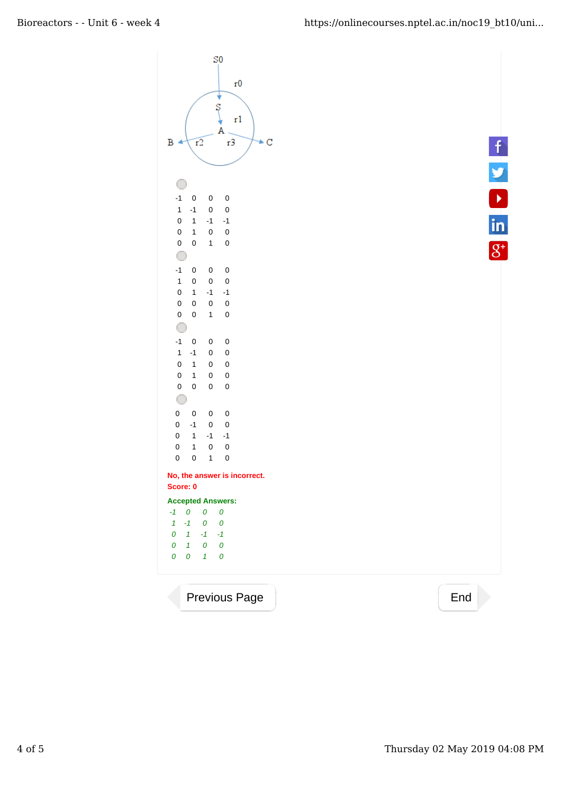



Previous Page 2012 2022 2022 2022 2022 2023 2024 2022 2023 2024 2022 2023 2024 2022 2023 2024 2022 2023 2024 20